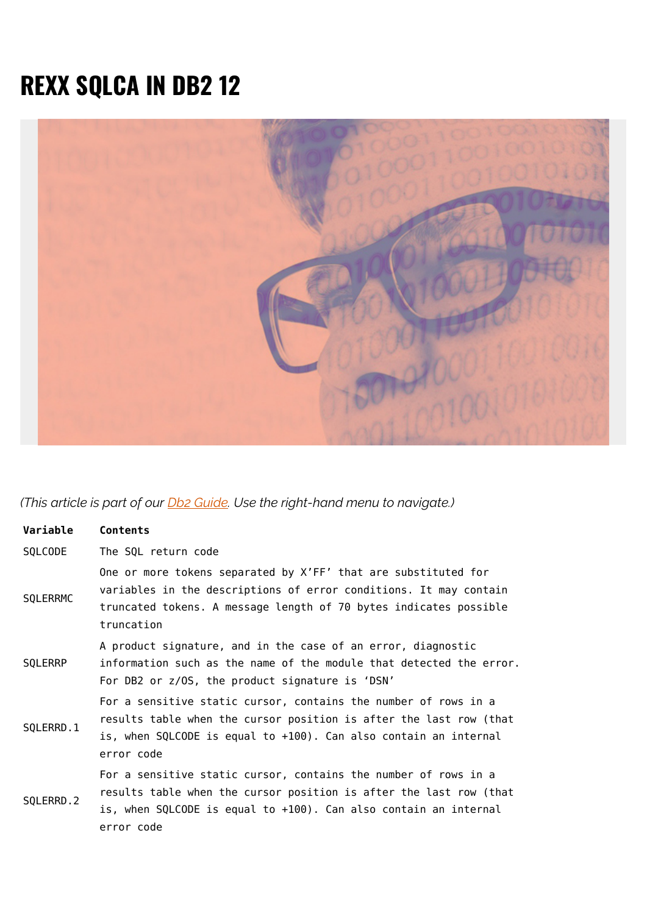## **REXX SQLCA IN DB2 12**



*(This article is part of our [Db2 Guide.](https://blogs.bmc.com/blogs/db2-introduction/) Use the right-hand menu to navigate.)*

| Variable  | Contents                                                                                                                                                                                                                |
|-----------|-------------------------------------------------------------------------------------------------------------------------------------------------------------------------------------------------------------------------|
| SQLCODE   | The SQL return code                                                                                                                                                                                                     |
| SQLERRMC  | One or more tokens separated by X'FF' that are substituted for<br>variables in the descriptions of error conditions. It may contain<br>truncated tokens. A message length of 70 bytes indicates possible<br>truncation  |
| SQLERRP   | A product signature, and in the case of an error, diagnostic<br>information such as the name of the module that detected the error.<br>For DB2 or z/OS, the product signature is 'DSN'                                  |
| SQLERRD.1 | For a sensitive static cursor, contains the number of rows in a<br>results table when the cursor position is after the last row (that<br>is, when SQLCODE is equal to +100). Can also contain an internal<br>error code |
| SQLERRD.2 | For a sensitive static cursor, contains the number of rows in a<br>results table when the cursor position is after the last row (that<br>is, when SQLCODE is equal to +100). Can also contain an internal<br>error code |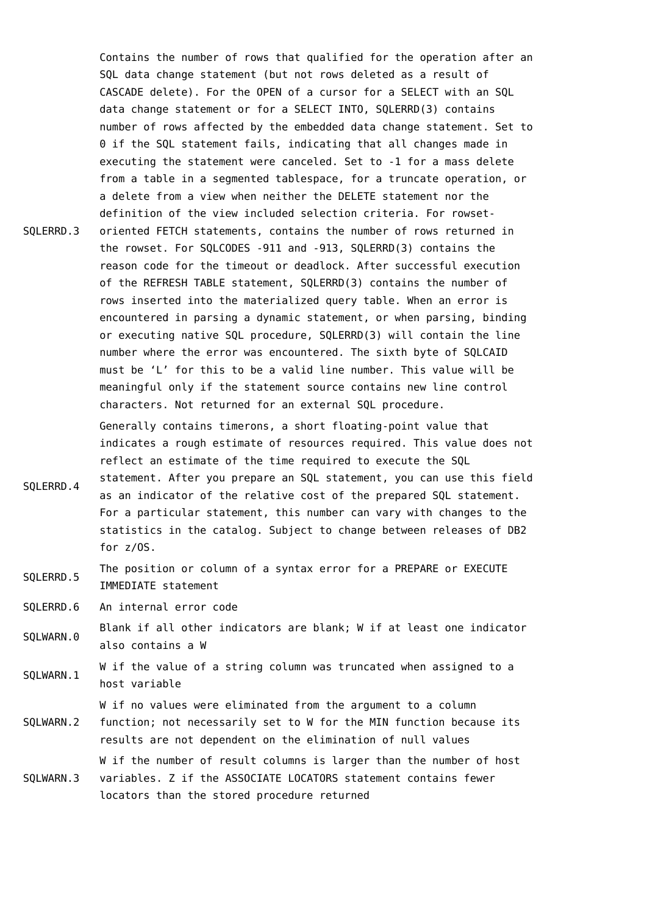SQLERRD.3 Contains the number of rows that qualified for the operation after an SQL data change statement (but not rows deleted as a result of CASCADE delete). For the OPEN of a cursor for a SELECT with an SQL data change statement or for a SELECT INTO, SQLERRD(3) contains number of rows affected by the embedded data change statement. Set to 0 if the SQL statement fails, indicating that all changes made in executing the statement were canceled. Set to -1 for a mass delete from a table in a segmented tablespace, for a truncate operation, or a delete from a view when neither the DELETE statement nor the definition of the view included selection criteria. For rowsetoriented FETCH statements, contains the number of rows returned in the rowset. For SQLCODES -911 and -913, SQLERRD(3) contains the reason code for the timeout or deadlock. After successful execution of the REFRESH TABLE statement, SQLERRD(3) contains the number of rows inserted into the materialized query table. When an error is encountered in parsing a dynamic statement, or when parsing, binding or executing native SQL procedure, SQLERRD(3) will contain the line number where the error was encountered. The sixth byte of SQLCAID must be 'L' for this to be a valid line number. This value will be meaningful only if the statement source contains new line control characters. Not returned for an external SQL procedure.

> Generally contains timerons, a short floating-point value that indicates a rough estimate of resources required. This value does not reflect an estimate of the time required to execute the SQL

SQLERRD.4 statement. After you prepare an SQL statement, you can use this field as an indicator of the relative cost of the prepared SQL statement. For a particular statement, this number can vary with changes to the statistics in the catalog. Subject to change between releases of DB2 for z/OS.

SQLERRD.5 The position or column of a syntax error for a PREPARE or EXECUTE IMMEDIATE statement

SQLERRD.6 An internal error code

- SQLWARN.0 Blank if all other indicators are blank; W if at least one indicator also contains a W
- SQLWARN.1 W if the value of a string column was truncated when assigned to a host variable

SQLWARN.2 W if no values were eliminated from the argument to a column function; not necessarily set to W for the MIN function because its results are not dependent on the elimination of null values

SQLWARN.3 W if the number of result columns is larger than the number of host variables. Z if the ASSOCIATE LOCATORS statement contains fewer locators than the stored procedure returned